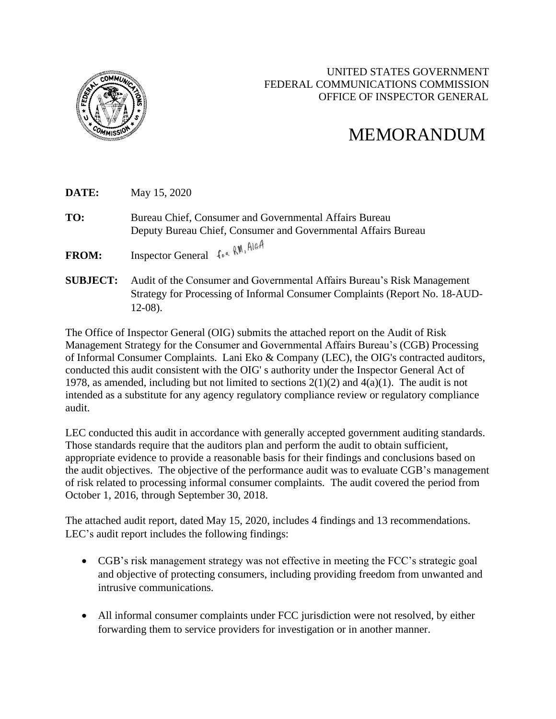

## UNITED STATES GOVERNMENT FEDERAL COMMUNICATIONS COMMISSION OFFICE OF INSPECTOR GENERAL

## MEMORANDUM

**DATE:** May 15, 2020 **TO:** Bureau Chief, Consumer and Governmental Affairs Bureau Deputy Bureau Chief, Consumer and Governmental Affairs Bureau **FROM:** Inspector General  $f \circ \kappa$  RN, AleA **SUBJECT:** Audit of the Consumer and Governmental Affairs Bureau's Risk Management

Strategy for Processing of Informal Consumer Complaints (Report No. 18-AUD-12-08).

The Office of Inspector General (OIG) submits the attached report on the Audit of Risk Management Strategy for the Consumer and Governmental Affairs Bureau's (CGB) Processing of Informal Consumer Complaints. Lani Eko & Company (LEC), the OIG's contracted auditors, conducted this audit consistent with the OIG' s authority under the Inspector General Act of 1978, as amended, including but not limited to sections  $2(1)(2)$  and  $4(a)(1)$ . The audit is not intended as a substitute for any agency regulatory compliance review or regulatory compliance audit.

LEC conducted this audit in accordance with generally accepted government auditing standards. Those standards require that the auditors plan and perform the audit to obtain sufficient, appropriate evidence to provide a reasonable basis for their findings and conclusions based on the audit objectives. The objective of the performance audit was to evaluate CGB's management of risk related to processing informal consumer complaints*.* The audit covered the period from October 1, 2016, through September 30, 2018.

The attached audit report, dated May 15, 2020, includes 4 findings and 13 recommendations. LEC's audit report includes the following findings:

- CGB's risk management strategy was not effective in meeting the FCC's strategic goal and objective of protecting consumers, including providing freedom from unwanted and intrusive communications.
- All informal consumer complaints under FCC jurisdiction were not resolved, by either forwarding them to service providers for investigation or in another manner.